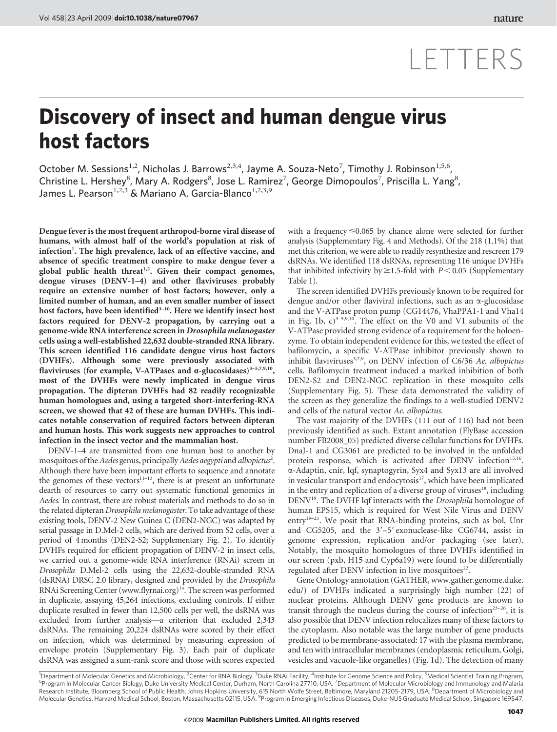## LETTERS

## Discovery of insect and human dengue virus host factors

October M. Sessions<sup>1,2</sup>, Nicholas J. Barrows<sup>2,3,4</sup>, Jayme A. Souza-Neto<sup>7</sup>, Timothy J. Robinson<sup>1,5,6</sup>, Christine L. Hershey<sup>8</sup>, Mary A. Rodgers<sup>8</sup>, Jose L. Ramirez<sup>7</sup>, George Dimopoulos<sup>7</sup>, Priscilla L. Yang<sup>8</sup>, James L. Pearson $^{1,2,3}$  & Mariano A. Garcia-Blanco $^{1,2,3,9}$ 

Dengue fever is the most frequent arthropod-borne viral disease of humans, with almost half of the world's population at risk of infection<sup>1</sup>. The high prevalence, lack of an effective vaccine, and absence of specific treatment conspire to make dengue fever a global public health threat<sup>1,2</sup>. Given their compact genomes, dengue viruses (DENV-1–4) and other flaviviruses probably require an extensive number of host factors; however, only a limited number of human, and an even smaller number of insect host factors, have been identified<sup>3-10</sup>. Here we identify insect host factors required for DENV-2 propagation, by carrying out a genome-wide RNA interference screen in Drosophila melanogaster cells using a well-established 22,632 double-stranded RNA library. This screen identified 116 candidate dengue virus host factors (DVHFs). Although some were previously associated with flaviviruses (for example, V-ATPases and  $\alpha$ -glucosidases)<sup>3-5,7,9,10</sup>, most of the DVHFs were newly implicated in dengue virus propagation. The dipteran DVHFs had 82 readily recognizable human homologues and, using a targeted short-interfering-RNA screen, we showed that 42 of these are human DVHFs. This indicates notable conservation of required factors between dipteran and human hosts. This work suggests new approaches to control infection in the insect vector and the mammalian host.

DENV-1–4 are transmitted from one human host to another by mosquitoes of the Aedes genus, principally Aedes aegypti and albopictus<sup>2</sup>. Although there have been important efforts to sequence and annotate the genomes of these vectors<sup> $11-13$ </sup>, there is at present an unfortunate dearth of resources to carry out systematic functional genomics in Aedes. In contrast, there are robust materials and methods to do so in the related dipteran Drosophila melanogaster. To take advantage of these existing tools, DENV-2 New Guinea C (DEN2-NGC) was adapted by serial passage in D.Mel-2 cells, which are derived from S2 cells, over a period of 4 months (DEN2-S2; Supplementary Fig. 2). To identify DVHFs required for efficient propagation of DENV-2 in insect cells, we carried out a genome-wide RNA interference (RNAi) screen in Drosophila D.Mel-2 cells using the 22,632-double-stranded RNA (dsRNA) DRSC 2.0 library, designed and provided by the Drosophila RNAi Screening Center [\(www.flyrnai.org](www.flyrnai.org))<sup>14</sup>. The screen was performed in duplicate, assaying 45,264 infections, excluding controls. If either duplicate resulted in fewer than 12,500 cells per well, the dsRNA was excluded from further analysis—a criterion that excluded 2,343 dsRNAs. The remaining 20,224 dsRNAs were scored by their effect on infection, which was determined by measuring expression of envelope protein (Supplementary Fig. 3). Each pair of duplicate dsRNA was assigned a sum-rank score and those with scores expected

with a frequency  $\leq 0.065$  by chance alone were selected for further analysis (Supplementary Fig. 4 and Methods). Of the 218 (1.1%) that met this criterion, we were able to readily resynthesize and rescreen 179 dsRNAs. We identified 118 dsRNAs, representing 116 unique DVHFs that inhibited infectivity by  $\geq$  1.5-fold with  $P < 0.05$  (Supplementary Table 1).

The screen identified DVHFs previously known to be required for dengue and/or other flaviviral infections, such as an  $\alpha$ -glucosidase and the V-ATPase proton pump (CG14476, VhaPPA1-1 and Vha14 in Fig. 1b,  $c$ )<sup>3-5,9,10</sup>. The effect on the V0 and V1 subunits of the V-ATPase provided strong evidence of a requirement for the holoenzyme. To obtain independent evidence for this, we tested the effect of bafilomycin, a specific V-ATPase inhibitor previously shown to inhibit flaviviruses<sup>3,7,9</sup>, on DENV infection of C6/36 Ae. albopictus cells. Bafilomycin treatment induced a marked inhibition of both DEN2-S2 and DEN2-NGC replication in these mosquito cells (Supplementary Fig. 5). These data demonstrated the validity of the screen as they generalize the findings to a well-studied DENV2 and cells of the natural vector Ae. albopictus.

The vast majority of the DVHFs (111 out of 116) had not been previously identified as such. Extant annotation (FlyBase accession number FB2008\_05) predicted diverse cellular functions for DVHFs. DnaJ-1 and CG3061 are predicted to be involved in the unfolded protein response, which is activated after DENV infection<sup>15,16</sup>. a-Adaptin, cnir, lqf, synaptogyrin, Syx4 and Syx13 are all involved in vesicular transport and endocytosis<sup>17</sup>, which have been implicated in the entry and replication of a diverse group of viruses $18$ , including DENV<sup>19</sup>. The DVHF lqf interacts with the *Drosophila* homologue of human EPS15, which is required for West Nile Virus and DENV entry<sup>19-21</sup>. We posit that RNA-binding proteins, such as bol, Unr and CG5205, and the  $3'-5'$  exonuclease-like CG6744, assist in genome expression, replication and/or packaging (see later). Notably, the mosquito homologues of three DVHFs identified in our screen (pxb, H15 and Cyp6a19) were found to be differentially regulated after DENV infection in live mosquitoes<sup>22</sup>.

Gene Ontology annotation (GATHER, [www.gather.genome.duke.](www.gather.genome.duke.edu) [edu/\)](www.gather.genome.duke.edu) of DVHFs indicated a surprisingly high number (22) of nuclear proteins. Although DENV gene products are known to transit through the nucleus during the course of infection<sup>23–26</sup>, it is also possible that DENV infection relocalizes many of these factors to the cytoplasm. Also notable was the large number of gene products predicted to be membrane-associated: 17 with the plasma membrane, and ten with intracellular membranes (endoplasmic reticulum, Golgi, vesicles and vacuole-like organelles) (Fig. 1d). The detection of many

<sup>1</sup>Department of Molecular Genetics and Microbiology,<sup>2</sup>Center for RNA Biology,<sup>3</sup>Duke RNAi Facility,<sup>4</sup>Institute for Genome Science and Policy,<sup>5</sup>Medical Scientist Training Program,<br><sup>6</sup>Program in Molecular Gancer Riclogy, Program in Molecular Cancer Biology, Duke University Medical Center, Durham, North Carolina 27710, USA. <sup>7</sup>Department of Molecular Microbiology and Immunology and Malaria Research Institute, Bloomberg School of Public Health, Johns Hopkins University, 615 North Wolfe Street, Baltimore, Maryland 21205-2179, USA. <sup>8</sup>Department of Microbiology and Molecular Genetics, Harvard Medical School, Boston, Massachusetts 02115, USA. <sup>9</sup>Program in Emerging Infectious Diseases, Duke-NUS Graduate Medical School, Singapore 169547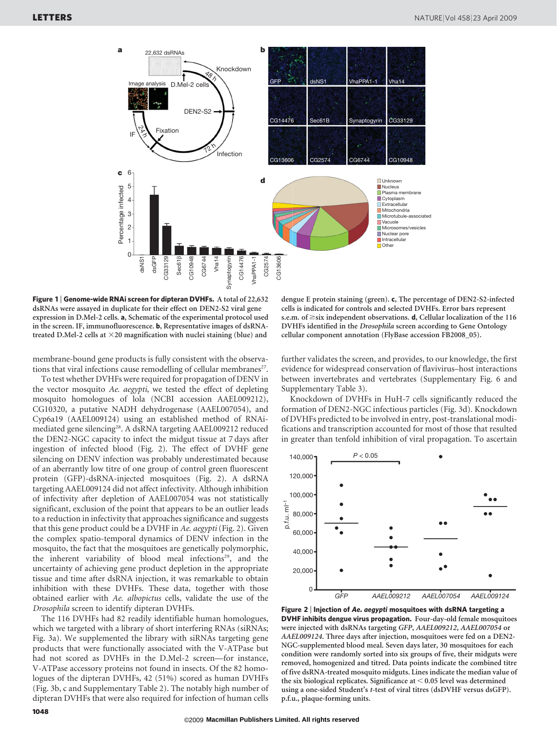

Figure 1 | Genome-wide RNAi screen for dipteran DVHFs. A total of 22,632 dsRNAs were assayed in duplicate for their effect on DEN2-S2 viral gene expression in D.Mel-2 cells. a, Schematic of the experimental protocol used in the screen. IF, immunofluorescence. b, Representative images of dsRNAtreated D.Mel-2 cells at  $\times$ 20 magnification with nuclei staining (blue) and

membrane-bound gene products is fully consistent with the observations that viral infections cause remodelling of cellular membranes<sup>27</sup>.

To test whether DVHFs were required for propagation of DENV in the vector mosquito Ae. aegypti, we tested the effect of depleting mosquito homologues of lola (NCBI accession AAEL009212), CG10320, a putative NADH dehydrogenase (AAEL007054), and Cyp6a19 (AAEL009124) using an established method of RNAimediated gene silencing<sup>28</sup>. A dsRNA targeting AAEL009212 reduced the DEN2-NGC capacity to infect the midgut tissue at 7 days after ingestion of infected blood (Fig. 2). The effect of DVHF gene silencing on DENV infection was probably underestimated because of an aberrantly low titre of one group of control green fluorescent protein (GFP)-dsRNA-injected mosquitoes (Fig. 2). A dsRNA targeting AAEL009124 did not affect infectivity. Although inhibition of infectivity after depletion of AAEL007054 was not statistically significant, exclusion of the point that appears to be an outlier leads to a reduction in infectivity that approaches significance and suggests that this gene product could be a DVHF in Ae. aegypti (Fig. 2). Given the complex spatio-temporal dynamics of DENV infection in the mosquito, the fact that the mosquitoes are genetically polymorphic, the inherent variability of blood meal infections<sup>29</sup>, and the uncertainty of achieving gene product depletion in the appropriate tissue and time after dsRNA injection, it was remarkable to obtain inhibition with these DVHFs. These data, together with those obtained earlier with Ae. albopictus cells, validate the use of the Drosophila screen to identify dipteran DVHFs.

The 116 DVHFs had 82 readily identifiable human homologues, which we targeted with a library of short interfering RNAs (siRNAs; Fig. 3a). We supplemented the library with siRNAs targeting gene products that were functionally associated with the V-ATPase but had not scored as DVHFs in the D.Mel-2 screen—for instance, V-ATPase accessory proteins not found in insects. Of the 82 homologues of the dipteran DVHFs, 42 (51%) scored as human DVHFs (Fig. 3b, c and Supplementary Table 2). The notably high number of dipteran DVHFs that were also required for infection of human cells

dengue E protein staining (green). c, The percentage of DEN2-S2-infected cells is indicated for controls and selected DVHFs. Error bars represent s.e.m. of  $\geq$ six independent observations. **d**, Cellular localization of the 116 DVHFs identified in the Drosophila screen according to Gene Ontology cellular component annotation (FlyBase accession FB2008\_05).

further validates the screen, and provides, to our knowledge, the first evidence for widespread conservation of flavivirus–host interactions between invertebrates and vertebrates (Supplementary Fig. 6 and Supplementary Table 3).

Knockdown of DVHFs in HuH-7 cells significantly reduced the formation of DEN2-NGC infectious particles (Fig. 3d). Knockdown of DVHFs predicted to be involved in entry, post-translational modifications and transcription accounted for most of those that resulted in greater than tenfold inhibition of viral propagation. To ascertain



Figure 2 | Injection of Ae. aegypti mosquitoes with dsRNA targeting a DVHF inhibits dengue virus propagation. Four-day-old female mosquitoes were injected with dsRNAs targeting GFP, AAEL009212, AAEL007054 or AAEL009124. Three days after injection, mosquitoes were fed on a DEN2- NGC-supplemented blood meal. Seven days later, 30 mosquitoes for each condition were randomly sorted into six groups of five, their midguts were removed, homogenized and titred. Data points indicate the combined titre of five dsRNA-treated mosquito midguts. Lines indicate the median value of the six biological replicates. Significance at  $<$  0.05 level was determined using a one-sided Student's t-test of viral titres (dsDVHF versus dsGFP). p.f.u., plaque-forming units.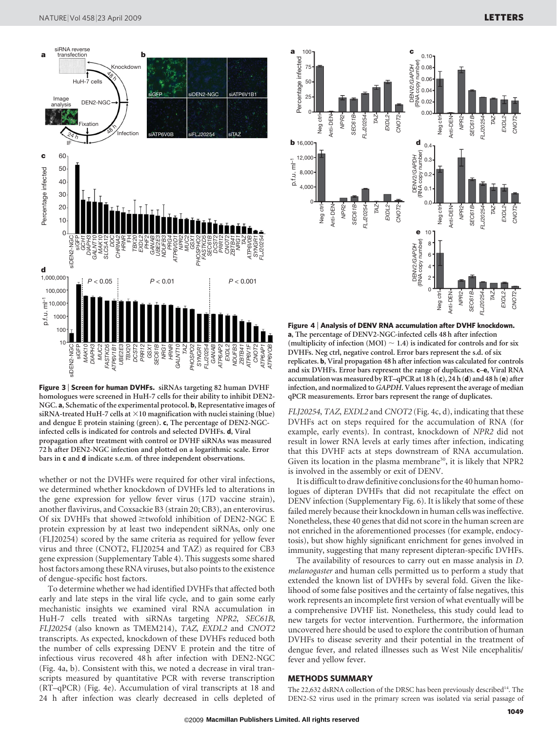

Figure 3 | Screen for human DVHFs. siRNAs targeting 82 human DVHF homologues were screened in HuH-7 cells for their ability to inhibit DEN2- NGC. a, Schematic of the experimental protocol. b, Representative images of siRNA-treated HuH-7 cells at  $\times$ 10 magnification with nuclei staining (blue) and dengue E protein staining (green). c, The percentage of DEN2-NGCinfected cells is indicated for controls and selected DVHFs. d, Viral propagation after treatment with control or DVHF siRNAs was measured 72 h after DEN2-NGC infection and plotted on a logarithmic scale. Error bars in c and d indicate s.e.m. of three independent observations.

whether or not the DVHFs were required for other viral infections, we determined whether knockdown of DVHFs led to alterations in the gene expression for yellow fever virus (17D vaccine strain), another flavivirus, and Coxsackie B3 (strain 20; CB3), an enterovirus. Of six DVHFs that showed  $\geq$ twofold inhibition of DEN2-NGC E protein expression by at least two independent siRNAs, only one (FLJ20254) scored by the same criteria as required for yellow fever virus and three (CNOT2, FLJ20254 and TAZ) as required for CB3 gene expression (Supplementary Table 4). This suggests some shared host factors among these RNA viruses, but also points to the existence of dengue-specific host factors.

To determine whether we had identified DVHFs that affected both early and late steps in the viral life cycle, and to gain some early mechanistic insights we examined viral RNA accumulation in HuH-7 cells treated with siRNAs targeting NPR2, SEC61B, FLJ20254 (also known as<TMEM214>), TAZ, EXDL2 and CNOT2 transcripts. As expected, knockdown of these DVHFs reduced both the number of cells expressing DENV E protein and the titre of infectious virus recovered 48 h after infection with DEN2-NGC (Fig. 4a, b). Consistent with this, we noted a decrease in viral transcripts measured by quantitative PCR with reverse transcription (RT–qPCR) (Fig. 4e). Accumulation of viral transcripts at 18 and 24 h after infection was clearly decreased in cells depleted of



Figure 4 <sup>|</sup> Analysis of DENV RNA accumulation after DVHF knockdown. a, The percentage of DENV2-NGC-infected cells 48 h after infection (multiplicity of infection (MOI)  $\sim$  1.4) is indicated for controls and for six DVHFs. Neg ctrl, negative control. Error bars represent the s.d. of six replicates. b, Viral propagation 48 h after infection was calculated for controls and six DVHFs. Error bars represent the range of duplicates. c-e, Viral RNA accumulation was measured by RT-qPCR at 18 h (c), 24 h (d) and 48 h (e) after infection, and normalized to GAPDH. Values represent the average of median qPCR measurements. Error bars represent the range of duplicates.

FLJ20254, TAZ, EXDL2 and CNOT2 (Fig. 4c, d), indicating that these DVHFs act on steps required for the accumulation of RNA (for example, early events). In contrast, knockdown of NPR2 did not result in lower RNA levels at early times after infection, indicating that this DVHF acts at steps downstream of RNA accumulation. Given its location in the plasma membrane<sup>30</sup>, it is likely that NPR2 is involved in the assembly or exit of DENV.

It is difficult to draw definitive conclusions for the 40 human homologues of dipteran DVHFs that did not recapitulate the effect on DENV infection (Supplementary Fig. 6). It is likely that some of these failed merely because their knockdown in human cells was ineffective. Nonetheless, these 40 genes that did not score in the human screen are not enriched in the aforementioned processes (for example, endocytosis), but show highly significant enrichment for genes involved in immunity, suggesting that many represent dipteran-specific DVHFs.

The availability of resources to carry out en masse analysis in D. melanogaster and human cells permitted us to perform a study that extended the known list of DVHFs by several fold. Given the likelihood of some false positives and the certainty of false negatives, this work represents an incomplete first version of what eventually will be a comprehensive DVHF list. Nonetheless, this study could lead to new targets for vector intervention. Furthermore, the information uncovered here should be used to explore the contribution of human DVHFs to disease severity and their potential in the treatment of dengue fever, and related illnesses such as West Nile encephalitis/ fever and yellow fever.

## METHODS SUMMARY

The 22,632 dsRNA collection of the DRSC has been previously described<sup>14</sup>. The DEN2-S2 virus used in the primary screen was isolated via serial passage of